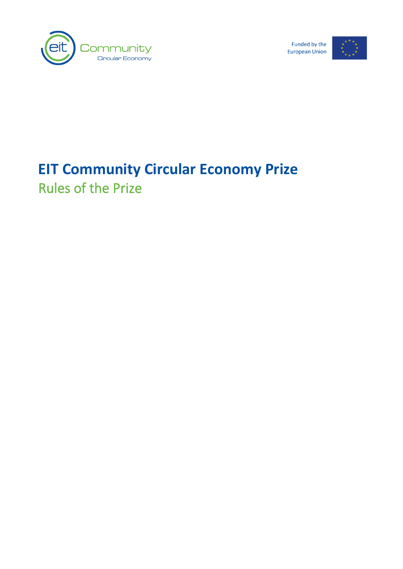

Funded by the **European Union** 



# **EIT Community Circular Economy Prize** Rules of the Prize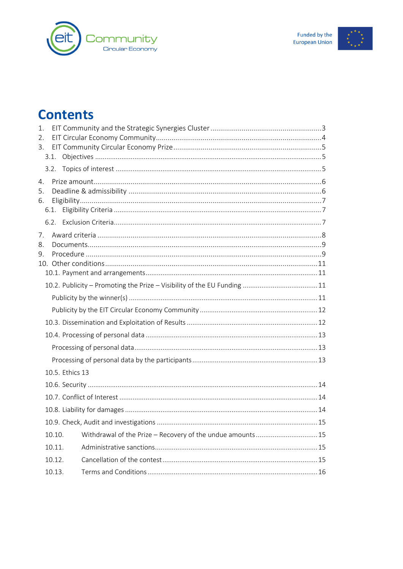



### **Contents**

| 1.       |        |                                                            |  |
|----------|--------|------------------------------------------------------------|--|
| 2.       |        |                                                            |  |
| 3.       |        |                                                            |  |
|          |        |                                                            |  |
|          |        |                                                            |  |
| 4.       |        |                                                            |  |
| 5.       |        |                                                            |  |
| 6.       |        |                                                            |  |
|          |        |                                                            |  |
|          |        |                                                            |  |
| 7.       |        |                                                            |  |
| 8.<br>9. |        |                                                            |  |
|          |        |                                                            |  |
|          |        |                                                            |  |
|          |        |                                                            |  |
|          |        |                                                            |  |
|          |        |                                                            |  |
|          |        |                                                            |  |
|          |        |                                                            |  |
|          |        |                                                            |  |
|          |        |                                                            |  |
|          |        | 10.5. Ethics 13                                            |  |
|          |        |                                                            |  |
|          |        |                                                            |  |
|          |        |                                                            |  |
|          |        |                                                            |  |
|          | 10.10. | Withdrawal of the Prize - Recovery of the undue amounts 15 |  |
|          | 10.11. |                                                            |  |
|          | 10.12. |                                                            |  |
|          | 10.13. |                                                            |  |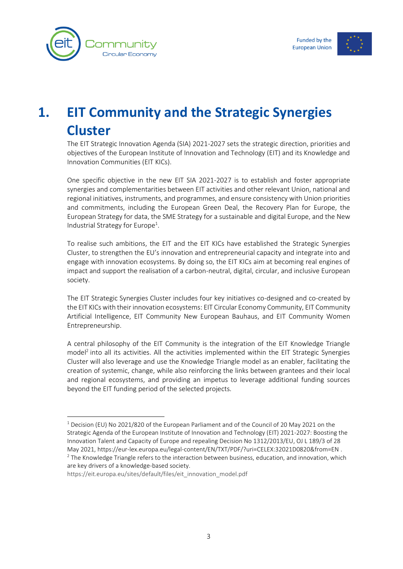



# <span id="page-3-0"></span>**1. EIT Community and the Strategic Synergies Cluster**

The EIT Strategic Innovation Agenda (SIA) 2021-2027 sets the strategic direction, priorities and objectives of the European Institute of Innovation and Technology (EIT) and its Knowledge and Innovation Communities (EIT KICs).

One specific objective in the new EIT SIA 2021-2027 is to establish and foster appropriate synergies and complementarities between EIT activities and other relevant Union, national and regional initiatives, instruments, and programmes, and ensure consistency with Union priorities and commitments, including the European Green Deal, the Recovery Plan for Europe, the European Strategy for data, the SME Strategy for a sustainable and digital Europe, and the New Industrial Strategy for Europe<sup>1</sup>.

To realise such ambitions, the EIT and the EIT KICs have established the Strategic Synergies Cluster, to strengthen the EU's innovation and entrepreneurial capacity and integrate into and engage with innovation ecosystems. By doing so, the EIT KICs aim at becoming real engines of impact and support the realisation of a carbon-neutral, digital, circular, and inclusive European society.

The EIT Strategic Synergies Cluster includes four key initiatives co-designed and co-created by the EIT KICs with their innovation ecosystems: EIT Circular Economy Community, EIT Community Artificial Intelligence, EIT Community New European Bauhaus, and EIT Community Women Entrepreneurship.

A central philosophy of the EIT Community is the integration of the EIT Knowledge Triangle model<sup>2</sup> into all its activities. All the activities implemented within the EIT Strategic Synergies Cluster will also leverage and use the Knowledge Triangle model as an enabler, facilitating the creation of systemic, change, while also reinforcing the links between grantees and their local and regional ecosystems, and providing an impetus to leverage additional funding sources beyond the EIT funding period of the selected projects.

[https://eit.europa.eu/sites/default/files/eit\\_innovation\\_model.pdf](https://eit.europa.eu/sites/default/files/eit_innovation_model.pdf)

<sup>1</sup> Decision (EU) No 2021/820 of the European Parliament and of the Council of 20 May 2021 on the Strategic Agenda of the European Institute of Innovation and Technology (EIT) 2021-2027: Boosting the Innovation Talent and Capacity of Europe and repealing Decision No 1312/2013/EU, OJ L 189/3 of 28 May 2021, <https://eur-lex.europa.eu/legal-content/EN/TXT/PDF/?uri=CELEX:32021D0820&from=EN> .  $<sup>2</sup>$  The Knowledge Triangle refers to the interaction between business, education, and innovation, which</sup> are key drivers of a knowledge-based society.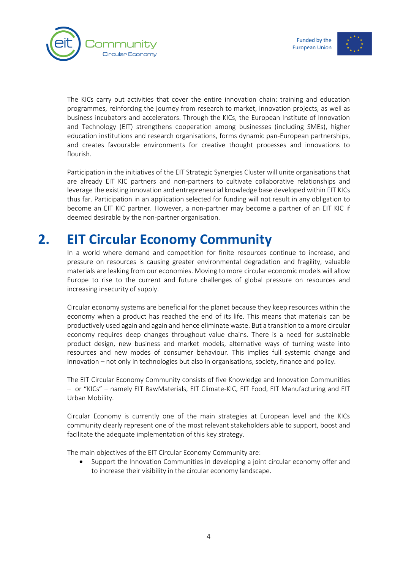



The KICs carry out activities that cover the entire innovation chain: training and education programmes, reinforcing the journey from research to market, innovation projects, as well as business incubators and accelerators. Through the KICs, the European Institute of Innovation and Technology (EIT) strengthens cooperation among businesses (including SMEs), higher education institutions and research organisations, forms dynamic pan-European partnerships, and creates favourable environments for creative thought processes and innovations to flourish.

Participation in the initiatives of the EIT Strategic Synergies Cluster will unite organisations that are already EIT KIC partners and non-partners to cultivate collaborative relationships and leverage the existing innovation and entrepreneurial knowledge base developed within EIT KICs thus far. Participation in an application selected for funding will not result in any obligation to become an EIT KIC partner. However, a non-partner may become a partner of an EIT KIC if deemed desirable by the non-partner organisation.

# **2. EIT Circular Economy Community**

<span id="page-4-0"></span>In a world where demand and competition for finite resources continue to increase, and pressure on resources is causing greater environmental degradation and fragility, valuable materials are leaking from our economies. Moving to more circular economic models will allow Europe to rise to the current and future challenges of global pressure on resources and increasing insecurity of supply.

Circular economy systems are beneficial for the planet because they keep resources within the economy when a product has reached the end of its life. This means that materials can be productively used again and again and hence eliminate waste. But a transition to a more circular economy requires deep changes throughout value chains. There is a need for sustainable product design, new business and market models, alternative ways of turning waste into resources and new modes of consumer behaviour. This implies full systemic change and innovation – not only in technologies but also in organisations, society, finance and policy.

The EIT Circular Economy Community consists of five Knowledge and Innovation Communities – or "KICs" – namely EIT RawMaterials, EIT Climate-KIC, EIT Food, EIT Manufacturing and EIT Urban Mobility.

Circular Economy is currently one of the main strategies at European level and the KICs community clearly represent one of the most relevant stakeholders able to support, boost and facilitate the adequate implementation of this key strategy.

The main objectives of the EIT Circular Economy Community are:

• Support the Innovation Communities in developing a joint circular economy offer and to increase their visibility in the circular economy landscape.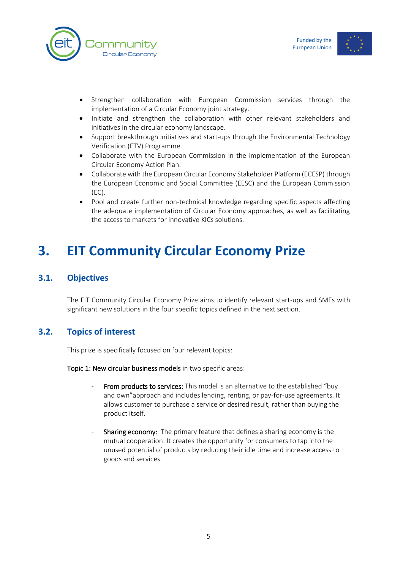



- Strengthen collaboration with European Commission services through the implementation of a Circular Economy joint strategy.
- Initiate and strengthen the collaboration with other relevant stakeholders and initiatives in the circular economy landscape.
- Support breakthrough initiatives and start-ups through the Environmental Technology Verification (ETV) Programme.
- Collaborate with the European Commission in the implementation of the European Circular Economy Action Plan.
- Collaborate with the European Circular Economy Stakeholder Platform (ECESP) through the European Economic and Social Committee (EESC) and the European Commission (EC).
- Pool and create further non-technical knowledge regarding specific aspects affecting the adequate implementation of Circular Economy approaches, as well as facilitating the access to markets for innovative KICs solutions.

# <span id="page-5-0"></span>**3. EIT Community Circular Economy Prize**

### <span id="page-5-1"></span>**3.1. Objectives**

<span id="page-5-2"></span>The EIT Community Circular Economy Prize aims to identify relevant start-ups and SMEs with significant new solutions in the four specific topics defined in the next section.

### **3.2. Topics of interest**

This prize is specifically focused on four relevant topics:

Topic 1: New circular business models in two specific areas:

- From products to services: This model is an alternative to the established "buy and own"approach and includes lending, renting, or pay-for-use agreements. It allows customer to purchase a service or desired result, rather than buying the product itself.
- Sharing economy: The primary feature that defines a sharing economy is the mutual cooperation. It creates the opportunity for consumers to tap into the unused potential of products by reducing their idle time and increase access to goods and services.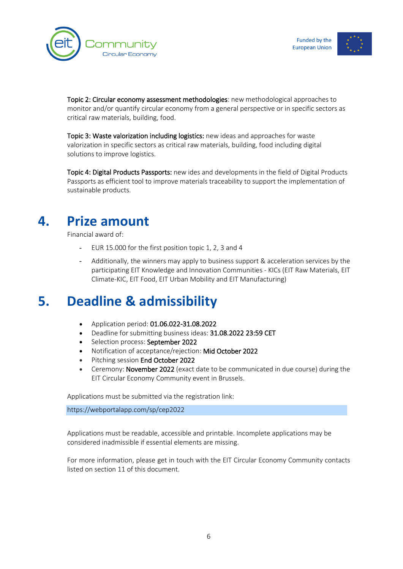



Topic 2: Circular economy assessment methodologies: new methodological approaches to monitor and/or quantify circular economy from a general perspective or in specific sectors as critical raw materials, building, food.

Topic 3: Waste valorization including logistics: new ideas and approaches for waste valorization in specific sectors as critical raw materials, building, food including digital solutions to improve logistics.

Topic 4: Digital Products Passports: new ides and developments in the field of Digital Products Passports as efficient tool to improve materials traceability to support the implementation of sustainable products.

### **4. Prize amount**

<span id="page-6-0"></span>Financial award of:

- EUR 15.000 for the first position topic 1, 2, 3 and 4
- Additionally, the winners may apply to business support & acceleration services by the participating EIT Knowledge and Innovation Communities - KICs (EIT Raw Materials, EIT Climate-KIC, EIT Food, EIT Urban Mobility and EIT Manufacturing)

## <span id="page-6-1"></span>**5. Deadline & admissibility**

- Application period: 01.06.022-31.08.2022
- Deadline for submitting business ideas: 31.08.2022 23:59 CET
- Selection process: September 2022
- Notification of acceptance/rejection: Mid October 2022
- Pitching session End October 2022
- Ceremony: November 2022 (exact date to be communicated in due course) during the EIT Circular Economy Community event in Brussels.

Applications must be submitted via the registration link:

https://webportalapp.com/sp/cep2022

Applications must be readable, accessible and printable. Incomplete applications may be considered inadmissible if essential elements are missing.

For more information, please get in touch with the EIT Circular Economy Community contacts listed on section [11](#page-17-0) of this document.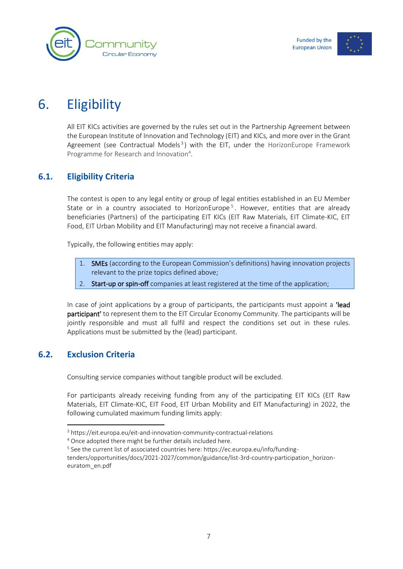



# 6. Eligibility

<span id="page-7-0"></span>All EIT KICs activities are governed by the rules set out in the Partnership Agreement between the European Institute of Innovation and Technology (EIT) and KICs, and more over in the Grant Agreement (see Contractual Models<sup>3</sup>) with the EIT, under the HorizonEurope Framework Programme for Research and Innovation 4 .

### <span id="page-7-1"></span>**6.1. Eligibility Criteria**

The contest is open to any legal entity or group of legal entities established in an EU Member State or in a country associated to HorizonEurope<sup>5</sup>. However, entities that are already beneficiaries (Partners) of the participating EIT KICs (EIT Raw Materials, EIT Climate-KIC, EIT Food, EIT Urban Mobility and EIT Manufacturing) may not receive a financial award.

Typically, the following entities may apply:

- 1. SMEs (according to the European Commission's definitions) having innovation projects relevant to the prize topics defined above;
- 2. Start-up or spin-off companies at least registered at the time of the application;

In case of joint applications by a group of participants, the participants must appoint a **'lead** participant' to represent them to the EIT Circular Economy Community. The participants will be jointly responsible and must all fulfil and respect the conditions set out in these rules. Applications must be submitted by the (lead) participant.

### <span id="page-7-2"></span>**6.2. Exclusion Criteria**

Consulting service companies without tangible product will be excluded.

For participants already receiving funding from any of the participating EIT KICs (EIT Raw Materials, EIT Climate-KIC, EIT Food, EIT Urban Mobility and EIT Manufacturing) in 2022, the following cumulated maximum funding limits apply:

<sup>3</sup> https://eit.europa.eu/eit-and-innovation-community-contractual-relations

<sup>4</sup> Once adopted there might be further details included here.

<sup>&</sup>lt;sup>5</sup> See the current list of associated countries here: https://ec.europa.eu/info/funding-

tenders/opportunities/docs/2021-2027/common/guidance/list-3rd-country-participation\_horizoneuratom\_en.pdf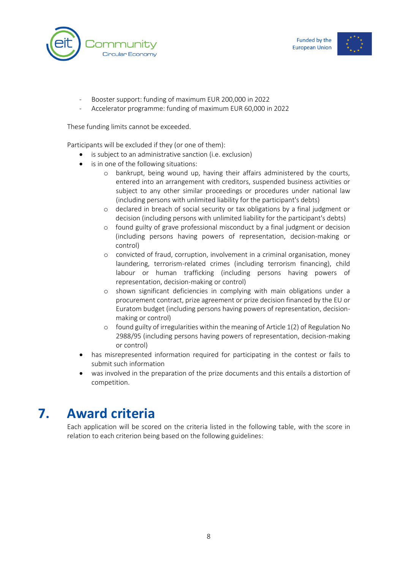



- Booster support: funding of maximum EUR 200,000 in 2022
- Accelerator programme: funding of maximum EUR 60,000 in 2022

These funding limits cannot be exceeded.

Participants will be excluded if they (or one of them):

- is subject to an administrative sanction (i.e. exclusion)
- is in one of the following situations:
	- o bankrupt, being wound up, having their affairs administered by the courts, entered into an arrangement with creditors, suspended business activities or subject to any other similar proceedings or procedures under national law (including persons with unlimited liability for the participant's debts)
	- o declared in breach of social security or tax obligations by a final judgment or decision (including persons with unlimited liability for the participant's debts)
	- o found guilty of grave professional misconduct by a final judgment or decision (including persons having powers of representation, decision-making or control)
	- o convicted of fraud, corruption, involvement in a criminal organisation, money laundering, terrorism-related crimes (including terrorism financing), child labour or human trafficking (including persons having powers of representation, decision-making or control)
	- o shown significant deficiencies in complying with main obligations under a procurement contract, prize agreement or prize decision financed by the EU or Euratom budget (including persons having powers of representation, decisionmaking or control)
	- o found guilty of irregularities within the meaning of Article 1(2) of Regulation No 2988/95 (including persons having powers of representation, decision-making or control)
- has misrepresented information required for participating in the contest or fails to submit such information
- was involved in the preparation of the prize documents and this entails a distortion of competition.

## **7. Award criteria**

<span id="page-8-0"></span>Each application will be scored on the criteria listed in the following table, with the score in relation to each criterion being based on the following guidelines: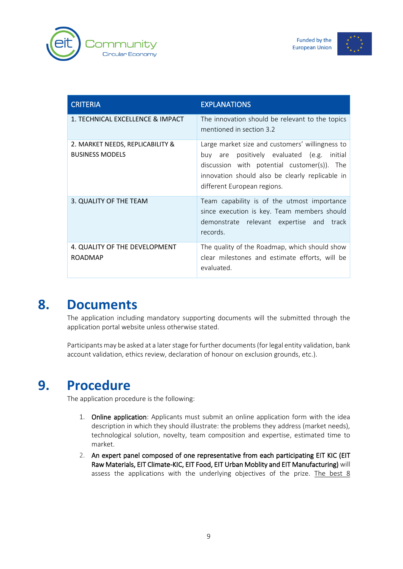



| <b>CRITERIA</b>                                            | <b>EXPLANATIONS</b>                                                                                                                                                                                                               |
|------------------------------------------------------------|-----------------------------------------------------------------------------------------------------------------------------------------------------------------------------------------------------------------------------------|
| 1. TECHNICAL EXCELLENCE & IMPACT                           | The innovation should be relevant to the topics<br>mentioned in section 3.2                                                                                                                                                       |
| 2. MARKET NEEDS, REPLICABILITY &<br><b>BUSINESS MODELS</b> | Large market size and customers' willingness to<br>are positively evaluated (e.g. initial<br>buv<br>discussion with potential customer(s)). The<br>innovation should also be clearly replicable in<br>different European regions. |
| 3. QUALITY OF THE TEAM                                     | Team capability is of the utmost importance<br>since execution is key. Team members should<br>demonstrate relevant expertise and track<br>records.                                                                                |
| 4. QUALITY OF THE DEVELOPMENT<br><b>ROADMAP</b>            | The quality of the Roadmap, which should show<br>clear milestones and estimate efforts, will be<br>evaluated.                                                                                                                     |

## **8. Documents**

<span id="page-9-0"></span>The application including mandatory supporting documents will the submitted through the application portal website unless otherwise stated.

Participants may be asked at a later stage for further documents (for legal entity validation, bank account validation, ethics review, declaration of honour on exclusion grounds, etc.).

### **9. Procedure**

<span id="page-9-1"></span>The application procedure is the following:

- 1. Online application: Applicants must submit an online application form with the idea description in which they should illustrate: the problems they address (market needs), technological solution, novelty, team composition and expertise, estimated time to market.
- 2. An expert panel composed of one representative from each participating EIT KIC (EIT Raw Materials, EIT Climate-KIC, EIT Food, EIT Urban Moblity and EIT Manufacturing) will assess the applications with the underlying objectives of the prize. The best 8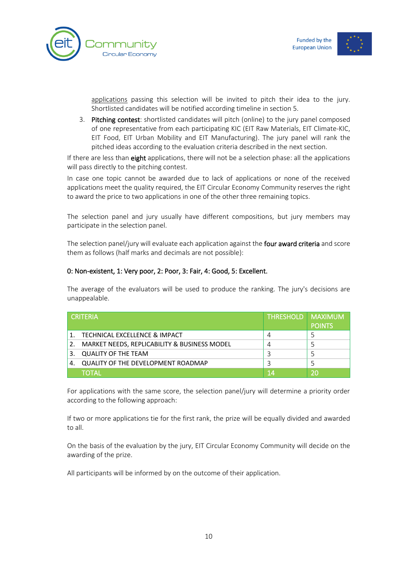



applications passing this selection will be invited to pitch their idea to the jury. Shortlisted candidates will be notified according timeline in section [5.](#page-6-1)

3. Pitching contest: shortlisted candidates will pitch (online) to the jury panel composed of one representative from each participating KIC (EIT Raw Materials, EIT Climate-KIC, EIT Food, EIT Urban Mobility and EIT Manufacturing). The jury panel will rank the pitched ideas according to the evaluation criteria described in the next section.

If there are less than eight applications, there will not be a selection phase: all the applications will pass directly to the pitching contest.

In case one topic cannot be awarded due to lack of applications or none of the received applications meet the quality required, the EIT Circular Economy Community reserves the right to award the price to two applications in one of the other three remaining topics.

The selection panel and jury usually have different compositions, but jury members may participate in the selection panel.

The selection panel/jury will evaluate each application against the four award criteria and score them as follows (half marks and decimals are not possible):

#### 0: Non-existent, 1: Very poor, 2: Poor, 3: Fair, 4: Good, 5: Excellent.

The average of the evaluators will be used to produce the ranking. The jury's decisions are unappealable.

| <b>CRITFRIA</b> |                                                 | <b>THRESHOLD   MAXIMUM</b> | <b>POINTS</b> |
|-----------------|-------------------------------------------------|----------------------------|---------------|
| 1.              | TECHNICAL EXCELLENCE & IMPACT                   |                            |               |
|                 | 2. MARKET NEEDS, REPLICABILITY & BUSINESS MODEL |                            |               |
|                 | <b>QUALITY OF THE TEAM</b>                      |                            |               |
| 4.              | QUALITY OF THE DEVELOPMENT ROADMAP              |                            |               |
|                 | ΤΟΤΑΙ                                           | 14                         |               |

For applications with the same score, the selection panel/jury will determine a priority order according to the following approach:

If two or more applications tie for the first rank, the prize will be equally divided and awarded to all.

On the basis of the evaluation by the jury, EIT Circular Economy Community will decide on the awarding of the prize.

All participants will be informed by on the outcome of their application.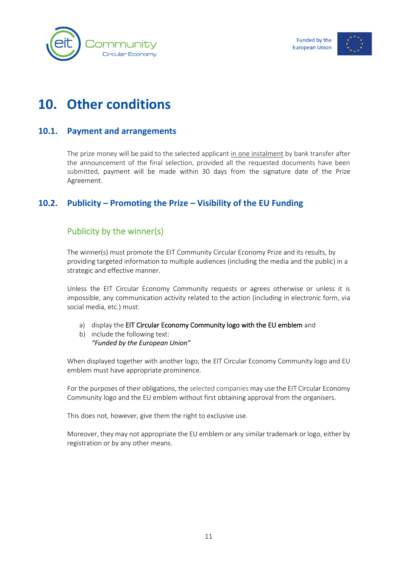![](_page_11_Picture_0.jpeg)

![](_page_11_Picture_1.jpeg)

# <span id="page-11-0"></span>**10. Other conditions**

#### <span id="page-11-1"></span>**10.1. Payment and arrangements**

The prize money will be paid to the selected applicant in one instalment by bank transfer after the announcement of the final selection, provided all the requested documents have been submitted, payment will be made within 30 days from the signature date of the Prize Agreement.

#### <span id="page-11-2"></span>**10.2. Publicity – Promoting the Prize – Visibility of the EU Funding**

#### <span id="page-11-3"></span>Publicity by the winner(s)

The winner(s) must promote the EIT Community Circular Economy Prize and its results, by providing targeted information to multiple audiences (including the media and the public) in a strategic and effective manner.

Unless the EIT Circular Economy Community requests or agrees otherwise or unless it is impossible, any communication activity related to the action (including in electronic form, via social media, etc.) must:

- a) display the EIT Circular Economy Community logo with the EU emblem and
- b) include the following text: *"Funded by the European Union"*

When displayed together with another logo, the EIT Circular Economy Community logo and EU emblem must have appropriate prominence.

For the purposes of their obligations, the selected companies may use the EIT Circular Economy Community logo and the EU emblem without first obtaining approval from the organisers.

This does not, however, give them the right to exclusive use.

Moreover, they may not appropriate the EU emblem or any similar trademark or logo, either by registration or by any other means.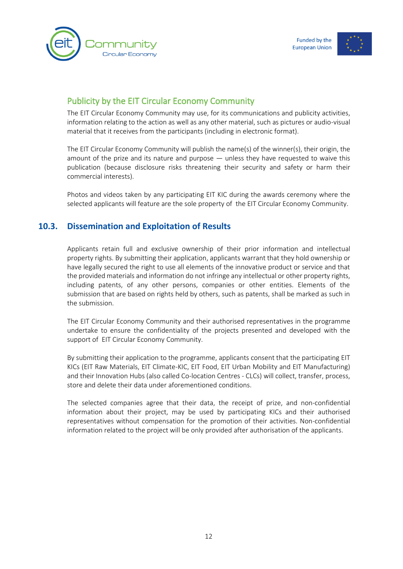![](_page_12_Picture_0.jpeg)

![](_page_12_Picture_1.jpeg)

### <span id="page-12-0"></span>Publicity by the EIT Circular Economy Community

The EIT Circular Economy Community may use, for its communications and publicity activities, information relating to the action as well as any other material, such as pictures or audio-visual material that it receives from the participants (including in electronic format).

The EIT Circular Economy Community will publish the name(s) of the winner(s), their origin, the amount of the prize and its nature and purpose — unless they have requested to waive this publication (because disclosure risks threatening their security and safety or harm their commercial interests).

<span id="page-12-1"></span>Photos and videos taken by any participating EIT KIC during the awards ceremony where the selected applicants will feature are the sole property of the EIT Circular Economy Community.

### **10.3. Dissemination and Exploitation of Results**

Applicants retain full and exclusive ownership of their prior information and intellectual property rights. By submitting their application, applicants warrant that they hold ownership or have legally secured the right to use all elements of the innovative product or service and that the provided materials and information do not infringe any intellectual or other property rights, including patents, of any other persons, companies or other entities. Elements of the submission that are based on rights held by others, such as patents, shall be marked as such in the submission.

The EIT Circular Economy Community and their authorised representatives in the programme undertake to ensure the confidentiality of the projects presented and developed with the support of EIT Circular Economy Community.

By submitting their application to the programme, applicants consent that the participating EIT KICs (EIT Raw Materials, EIT Climate-KIC, EIT Food, EIT Urban Mobility and EIT Manufacturing) and their Innovation Hubs (also called Co-location Centres - CLCs) will collect, transfer, process, store and delete their data under aforementioned conditions.

The selected companies agree that their data, the receipt of prize, and non-confidential information about their project, may be used by participating KICs and their authorised representatives without compensation for the promotion of their activities. Non-confidential information related to the project will be only provided after authorisation of the applicants.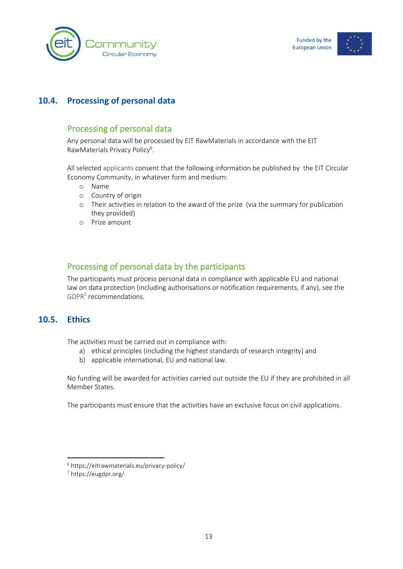![](_page_13_Picture_0.jpeg)

![](_page_13_Picture_1.jpeg)

### <span id="page-13-0"></span>**10.4. Processing of personal data**

#### <span id="page-13-1"></span>Processing of personal data

Any personal data will be processed by EIT RawMaterials in accordance with the EIT RawMaterials Privacy Policy<sup>6</sup>.

All selected applicants consent that the following information be published by the EIT Circular Economy Community, in whatever form and medium:

- o Name
- o Country of origin
- o Their activities in relation to the award of the prize (via the summary for publication they provided)
- o Prize amount

### <span id="page-13-2"></span>Processing of personal data by the participants

<span id="page-13-3"></span>The participants must process personal data in compliance with applicable EU and national law on data protection (including authorisations or notification requirements, if any), see the [GDPR](https://eugdpr.org/)<sup>7</sup> recommendations.

#### **10.5. Ethics**

The activities must be carried out in compliance with:

- a) ethical principles (including the highest standards of research integrity) and
- b) applicable international, EU and national law.

No funding will be awarded for activities carried out outside the EU if they are prohibited in all Member States.

The participants must ensure that the activities have an exclusive focus on civil applications.

<sup>6</sup> https://eitrawmaterials.eu/privacy-policy/

<sup>7</sup> https://eugdpr.org/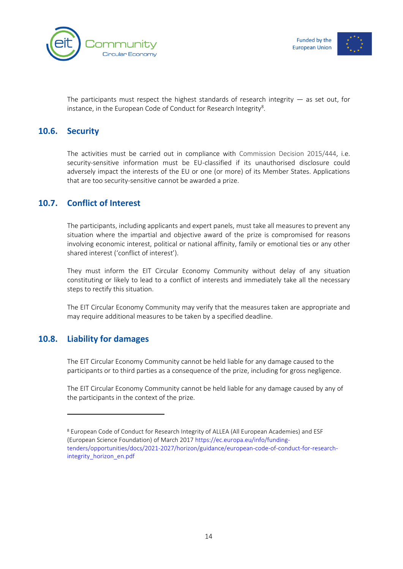![](_page_14_Picture_0.jpeg)

![](_page_14_Picture_1.jpeg)

<span id="page-14-0"></span>The participants must respect the highest standards of research integrity  $-$  as set out, for instance, in the European Code of Conduct for Research Integrity ${}^{8}$ .

#### **10.6. Security**

The activities must be carried out in compliance with [Commission Decision 2015/444,](https://eur-lex.europa.eu/legal-content/EN/TXT/PDF/?uri=OJ:JOL_2015_072_R_0011&qid=1427204240846&from=EN) i.e. security-sensitive information must be EU-classified if its unauthorised disclosure could adversely impact the interests of the EU or one (or more) of its Member States. Applications that are too security-sensitive cannot be awarded a prize.

#### <span id="page-14-1"></span>**10.7. Conflict of Interest**

The participants, including applicants and expert panels, must take all measures to prevent any situation where the impartial and objective award of the prize is compromised for reasons involving economic interest, political or national affinity, family or emotional ties or any other shared interest ('conflict of interest').

They must inform the EIT Circular Economy Community without delay of any situation constituting or likely to lead to a conflict of interests and immediately take all the necessary steps to rectify this situation.

<span id="page-14-2"></span>The EIT Circular Economy Community may verify that the measures taken are appropriate and may require additional measures to be taken by a specified deadline.

#### **10.8. Liability for damages**

The EIT Circular Economy Community cannot be held liable for any damage caused to the participants or to third parties as a consequence of the prize, including for gross negligence.

The EIT Circular Economy Community cannot be held liable for any damage caused by any of the participants in the context of the prize.

<sup>8</sup> European Code of Conduct for Research Integrity of ALLEA (All European Academies) and ESF (European Science Foundation) of March 2017 https://ec.europa.eu/info/fundingtenders/opportunities/docs/2021-2027/horizon/guidance/european-code-of-conduct-for-researchintegrity\_horizon\_en.pdf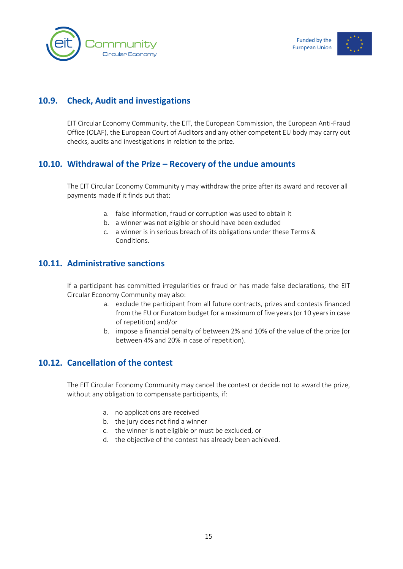![](_page_15_Picture_0.jpeg)

![](_page_15_Picture_1.jpeg)

### **10.9. Check, Audit and investigations**

<span id="page-15-1"></span><span id="page-15-0"></span>EIT Circular Economy Community, the EIT, the European Commission, the European Anti-Fraud Office (OLAF), the European Court of Auditors and any other competent EU body may carry out checks, audits and investigations in relation to the prize.

#### **10.10. Withdrawal of the Prize – Recovery of the undue amounts**

The EIT Circular Economy Community y may withdraw the prize after its award and recover all payments made if it finds out that:

- a. false information, fraud or corruption was used to obtain it
- b. a winner was not eligible or should have been excluded
- c. a winner is in serious breach of its obligations under these Terms & Conditions.

#### <span id="page-15-2"></span>**10.11. Administrative sanctions**

If a participant has committed irregularities or fraud or has made false declarations, the EIT Circular Economy Community may also:

- a. exclude the participant from all future contracts, prizes and contests financed from the EU or Euratom budget for a maximum of five years (or 10 years in case of repetition) and/or
- b. impose a financial penalty of between 2% and 10% of the value of the prize (or between 4% and 20% in case of repetition).

#### <span id="page-15-3"></span>**10.12. Cancellation of the contest**

The EIT Circular Economy Community may cancel the contest or decide not to award the prize, without any obligation to compensate participants, if:

- a. no applications are received
- b. the jury does not find a winner
- c. the winner is not eligible or must be excluded, or
- d. the objective of the contest has already been achieved.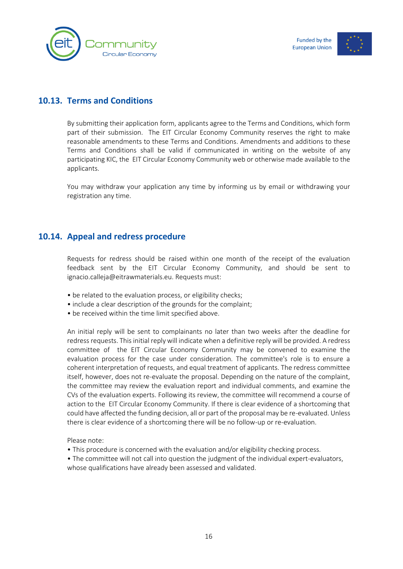![](_page_16_Picture_1.jpeg)

#### **10.13. Terms and Conditions**

<span id="page-16-0"></span>By submitting their application form, applicants agree to the Terms and Conditions, which form part of their submission. The EIT Circular Economy Community reserves the right to make reasonable amendments to these Terms and Conditions. Amendments and additions to these Terms and Conditions shall be valid if communicated in writing on the website of any participating KIC, the EIT Circular Economy Community web or otherwise made available to the applicants.

You may withdraw your application any time by informing us by email or withdrawing your registration any time.

#### <span id="page-16-1"></span>**10.14. Appeal and redress procedure**

Requests for redress should be raised within one month of the receipt of the evaluation feedback sent by the EIT Circular Economy Community, and should be sent to ignacio.calleja@eitrawmaterials.eu. Requests must:

- be related to the evaluation process, or eligibility checks;
- include a clear description of the grounds for the complaint;
- be received within the time limit specified above.

An initial reply will be sent to complainants no later than two weeks after the deadline for redress requests. This initial reply will indicate when a definitive reply will be provided. A redress committee of the EIT Circular Economy Community may be convened to examine the evaluation process for the case under consideration. The committee's role is to ensure a coherent interpretation of requests, and equal treatment of applicants. The redress committee itself, however, does not re-evaluate the proposal. Depending on the nature of the complaint, the committee may review the evaluation report and individual comments, and examine the CVs of the evaluation experts. Following its review, the committee will recommend a course of action to the EIT Circular Economy Community. If there is clear evidence of a shortcoming that could have affected the funding decision, all or part of the proposal may be re-evaluated. Unless there is clear evidence of a shortcoming there will be no follow-up or re-evaluation.

Please note:

- This procedure is concerned with the evaluation and/or eligibility checking process.
- The committee will not call into question the judgment of the individual expert-evaluators, whose qualifications have already been assessed and validated.